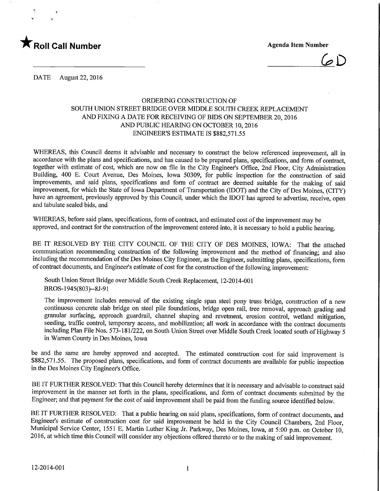

!

 $\mathbf{r} = \frac{1}{2}$ 

 $6D$ 

DATE August 22, 2016

## ORDERING CONSTRUCTION OF SOUTH UNION STREET BRIDGE OVER MIDDLE SOUTH CREEK REPLACEMENT AND FIXING A DATE FOR RECEIVING OF BIDS ON SEPTEMBER 20,2016 AND PUBLIC HEARING ON OCTOBER 10,2016 ENGINEER'S ESTIMATE IS \$882,571.55

WHEREAS, this Council deems it advisable and necessary to construct the below referenced improvement, all in accordance with the plans and specifications, and has caused to be prepared plans, specifications, and form of contract, together with estimate of cost, which are now on file in the City Engineer's Office, 2nd Floor, City Administration Building, 400 E. Court Avenue, Des Moines, Iowa 50309, for public inspection for the construction of said improvements, and said plans, specifications and form of contract are deemed suitable for the making of said improvement, for which the State of Iowa Department of Transportation (IDOT) and the City of Des Moines, (CITY) have an agreement, previously approved by this Council, under which the IDOT has agreed to advertise, receive, open and tabulate sealed bids, and

WHEREAS, before said plans, specifications, form of contract, and estimated cost of the improvement may be approved, and contract for the construction of the improvement entered into, it is necessary to hold a public hearing.

BE IT RESOLVED BY THE CITY COUNCIL OF THE CITY OF DES MOINES, IOWA: That the attached communication recommending construction of the following improvement and the method of financing; and also including the recommendation of the Des Moines City Engineer, as the Engineer, submitting plans, specifications, form of contract documents, and Engineer's estimate of cost for the construction of the following improvement:

South Union Street Bridge over Middle South Creek Replacement, 12-2014-001 BROS-1945(803)--8J-91

The improvement includes removal of the existing single span steel pony truss bridge, construction of a new continuous concrete slab bridge on steel pile foundations, bridge open rail, tree removal, approach grading and granular surfacing, approach guardrail, channel shaping and revetment, erosion control, wetland mitigation, seeding, traffic control, temporary access, and mobilization; all work in accordance with the contract documents including Plan File Nos. 573-181/222, on South Union Street over Middle South Creek located south of Highway 5 in Warren County in Des Moines, Iowa

be and the same are hereby approved and accepted. The estimated construction cost for said improvement is \$882,571.55. The proposed plans, specifications, and form of contract documents are available for public inspection in the Des Moines City Engineer's Office.

BE IT FURTHER RESOLVED: That this Council hereby determines that it is necessary and advisable to construct said improvement in the manner set forth in the plans, specifications, and form of contract documents submitted by the Engineer; and that payment for the cost of said improvement shall be paid from the funding source identified below.

BE IT FURTHER RESOLVED: That a public hearing on said plans, specifications, form of contract documents, and Engineer's estimate of construction cost for said improvement be held in the City Council Chambers, 2nd Floor, Municipal Service Center, 1551 E. Martin Luther King Jr. Parkway, Des Moines, Iowa, at 5:00 p.m. on October 10, 2016, at which time this Council will consider any objections offered thereto or to the making of said improvement.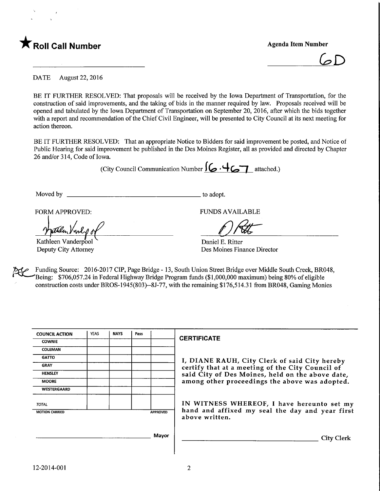

 $GD$ 

DATE August 22, 2016

BE IT FURTHER RESOLVED: That proposals will be received by the Iowa Department of Transportation, for the construction of said improvements, and the taking of bids in the manner required by law. Proposals received will be opened and tabulated by the Iowa Department of Transportation on September 20, 2016, after which the bids together with a report and recommendation of the Chief Civil Engineer, will be presented to City Council at its next meeting for action thereon.

BE IT FURTHER RESOLVED: That an appropriate Notice to Bidders for said improvement be posted, and Notice of Public Hearing for said improvement be published in the Des Moines Register, all as provided and directed by Chapter 26 and/or 314, Code of Iowa.

(City Council Communication Number  $\mathcal{G} \cdot \mathcal{G}$  attached.)

Moved by to adopt.

FORM APPROVED: FUNDS AVAILABLE

Vindo

Kathleen Vanderpool Deputy City Attorney

Daniel E. Ritter Des Moines Finance Director

Funding Source: 2016-2017 CIP, Page Bridge - 13, South Union Street Bridge over Middle South Creek, BR048, 'Being: \$706,057.24 in Federal Highway Bridge Program funds (\$ 1 ,000,000 maximum) being 80% of eligible construction costs under BROS-1945(803)-8J-77, with the remaining \$176,514.31 from BR048, Gaming Monies

| <b>COUNCIL ACTION</b>                    | <b>YEAS</b> | <b>NAYS</b> | Pass |  |                                                                                                   |  |
|------------------------------------------|-------------|-------------|------|--|---------------------------------------------------------------------------------------------------|--|
| <b>COWNIE</b>                            |             |             |      |  | <b>CERTIFICATE</b>                                                                                |  |
| <b>COLEMAN</b>                           |             |             |      |  |                                                                                                   |  |
| <b>GATTO</b>                             |             |             |      |  | I, DIANE RAUH, City Clerk of said City hereby<br>certify that at a meeting of the City Council of |  |
| <b>GRAY</b>                              |             |             |      |  |                                                                                                   |  |
| <b>HENSLEY</b>                           |             |             |      |  | said City of Des Moines, held on the above date,                                                  |  |
| <b>MOORE</b>                             |             |             |      |  | among other proceedings the above was adopted.                                                    |  |
| WESTERGAARD                              |             |             |      |  |                                                                                                   |  |
| <b>TOTAL</b>                             |             |             |      |  | IN WITNESS WHEREOF, I have hereunto set my                                                        |  |
| <b>MOTION CARRIED</b><br><b>APPROVED</b> |             |             |      |  | hand and affixed my seal the day and year first<br>above written.                                 |  |
|                                          |             |             |      |  |                                                                                                   |  |
| Mayor                                    |             |             |      |  | <b>City Clerk</b>                                                                                 |  |
|                                          |             |             |      |  |                                                                                                   |  |